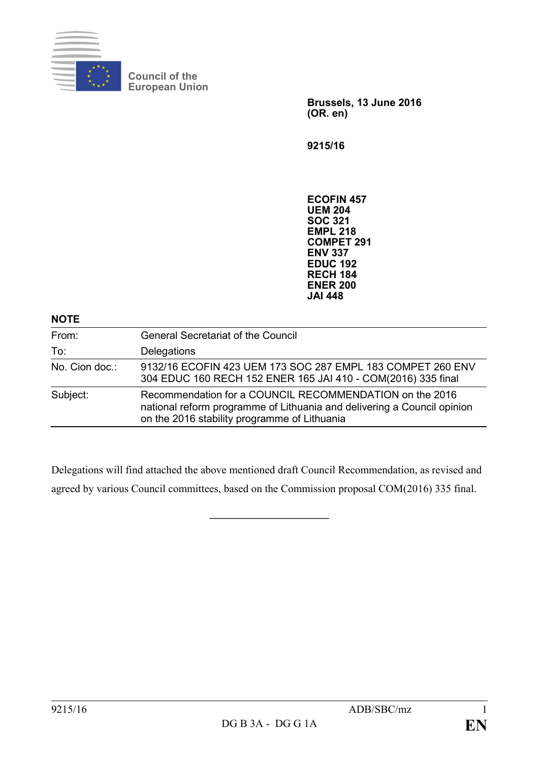

**Council of the European Union**

> **Brussels, 13 June 2016 (OR. en)**

**9215/16**

**ECOFIN 457 UEM 204 SOC 321 EMPL 218 COMPET 291 ENV 337 EDUC 192 RECH 184 ENER 200 JAI 448**

| From:          | <b>General Secretariat of the Council</b>                                                                                                                                          |
|----------------|------------------------------------------------------------------------------------------------------------------------------------------------------------------------------------|
| To:            | Delegations                                                                                                                                                                        |
| No. Cion doc.: | 9132/16 ECOFIN 423 UEM 173 SOC 287 EMPL 183 COMPET 260 ENV<br>304 EDUC 160 RECH 152 ENER 165 JAI 410 - COM(2016) 335 final                                                         |
| Subject:       | Recommendation for a COUNCIL RECOMMENDATION on the 2016<br>national reform programme of Lithuania and delivering a Council opinion<br>on the 2016 stability programme of Lithuania |

Delegations will find attached the above mentioned draft Council Recommendation, as revised and agreed by various Council committees, based on the Commission proposal COM(2016) 335 final.

**\_\_\_\_\_\_\_\_\_\_\_\_\_\_\_\_\_\_\_\_\_\_**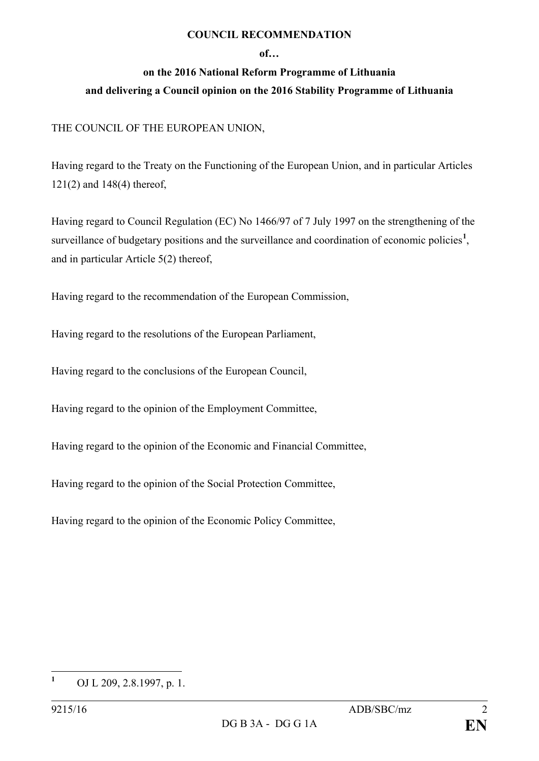## **COUNCIL RECOMMENDATION**

## **of…**

## **on the 2016 National Reform Programme of Lithuania and delivering a Council opinion on the 2016 Stability Programme of Lithuania**

## THE COUNCIL OF THE EUROPEAN UNION,

Having regard to the Treaty on the Functioning of the European Union, and in particular Articles 121(2) and 148(4) thereof,

Having regard to Council Regulation (EC) No 1466/97 of 7 July 1997 on the strengthening of the surveillance of budgetary positions and the surveillance and coordination of economic policies<sup>[1](#page-1-0)</sup>, and in particular Article 5(2) thereof,

Having regard to the recommendation of the European Commission,

Having regard to the resolutions of the European Parliament,

Having regard to the conclusions of the European Council,

Having regard to the opinion of the Employment Committee,

Having regard to the opinion of the Economic and Financial Committee,

Having regard to the opinion of the Social Protection Committee,

Having regard to the opinion of the Economic Policy Committee,

<span id="page-1-0"></span>**<sup>1</sup>** OJ L 209, 2.8.1997, p. 1.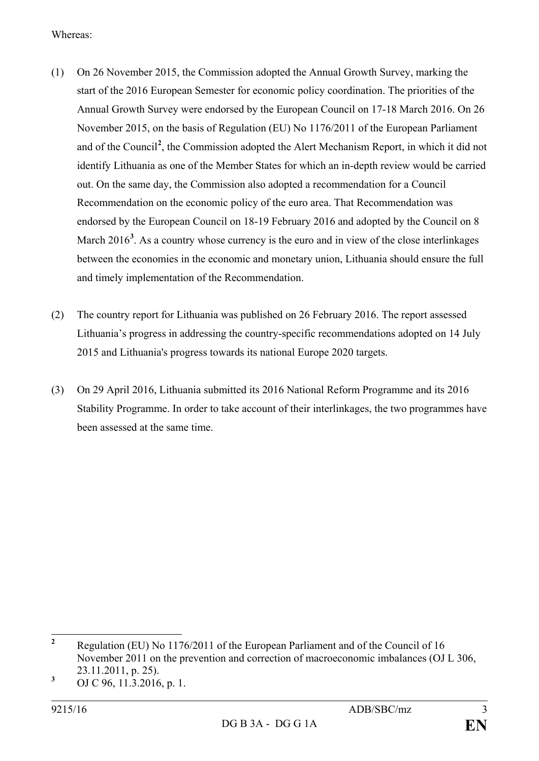Whereas:

- (1) On 26 November 2015, the Commission adopted the Annual Growth Survey, marking the start of the 2016 European Semester for economic policy coordination. The priorities of the Annual Growth Survey were endorsed by the European Council on 17-18 March 2016. On 26 November 2015, on the basis of Regulation (EU) No 1176/2011 of the European Parliament and of the Council**[2](#page-2-0)** , the Commission adopted the Alert Mechanism Report, in which it did not identify Lithuania as one of the Member States for which an in-depth review would be carried out. On the same day, the Commission also adopted a recommendation for a Council Recommendation on the economic policy of the euro area. That Recommendation was endorsed by the European Council on 18-19 February 2016 and adopted by the Council on 8 March 2016<sup>[3](#page-2-1)</sup>. As a country whose currency is the euro and in view of the close interlinkages between the economies in the economic and monetary union, Lithuania should ensure the full and timely implementation of the Recommendation.
- (2) The country report for Lithuania was published on 26 February 2016. The report assessed Lithuania's progress in addressing the country-specific recommendations adopted on 14 July 2015 and Lithuania's progress towards its national Europe 2020 targets.
- (3) On 29 April 2016, Lithuania submitted its 2016 National Reform Programme and its 2016 Stability Programme. In order to take account of their interlinkages, the two programmes have been assessed at the same time.

<span id="page-2-0"></span>**<sup>2</sup>** Regulation (EU) No 1176/2011 of the European Parliament and of the Council of 16 November 2011 on the prevention and correction of macroeconomic imbalances (OJ L 306, 23.11.2011, p. 25).

<span id="page-2-1"></span>**<sup>3</sup>** OJ C 96, 11.3.2016, p. 1.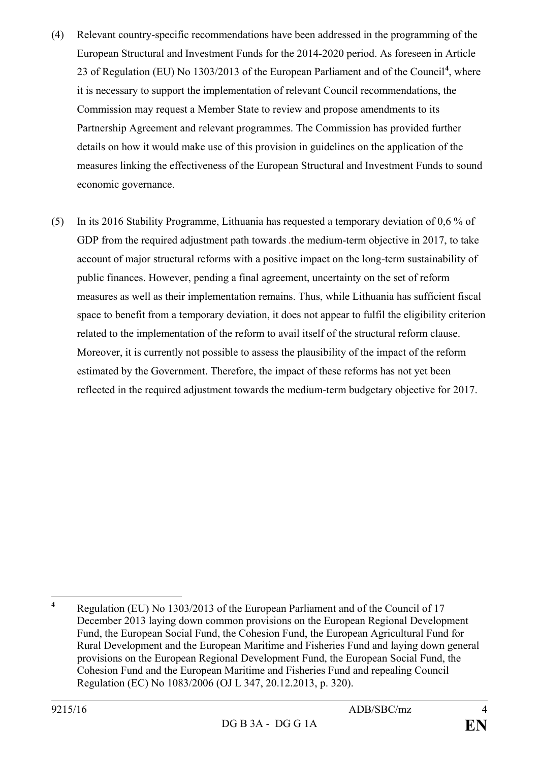- (4) Relevant country-specific recommendations have been addressed in the programming of the European Structural and Investment Funds for the 2014-2020 period. As foreseen in Article 23 of Regulation (EU) No 1303/2013 of the European Parliament and of the Council**[4](#page-3-0)** , where it is necessary to support the implementation of relevant Council recommendations, the Commission may request a Member State to review and propose amendments to its Partnership Agreement and relevant programmes. The Commission has provided further details on how it would make use of this provision in guidelines on the application of the measures linking the effectiveness of the European Structural and Investment Funds to sound economic governance.
- (5) In its 2016 Stability Programme, Lithuania has requested a temporary deviation of 0,6 % of GDP from the required adjustment path towards *.*the medium-term objective in 2017, to take account of major structural reforms with a positive impact on the long-term sustainability of public finances. However, pending a final agreement, uncertainty on the set of reform measures as well as their implementation remains. Thus, while Lithuania has sufficient fiscal space to benefit from a temporary deviation, it does not appear to fulfil the eligibility criterion related to the implementation of the reform to avail itself of the structural reform clause. Moreover, it is currently not possible to assess the plausibility of the impact of the reform estimated by the Government. Therefore, the impact of these reforms has not yet been reflected in the required adjustment towards the medium-term budgetary objective for 2017.

<span id="page-3-0"></span>**<sup>4</sup>** Regulation (EU) No 1303/2013 of the European Parliament and of the Council of 17 December 2013 laying down common provisions on the European Regional Development Fund, the European Social Fund, the Cohesion Fund, the European Agricultural Fund for Rural Development and the European Maritime and Fisheries Fund and laying down general provisions on the European Regional Development Fund, the European Social Fund, the Cohesion Fund and the European Maritime and Fisheries Fund and repealing Council Regulation (EC) No 1083/2006 (OJ L 347, 20.12.2013, p. 320).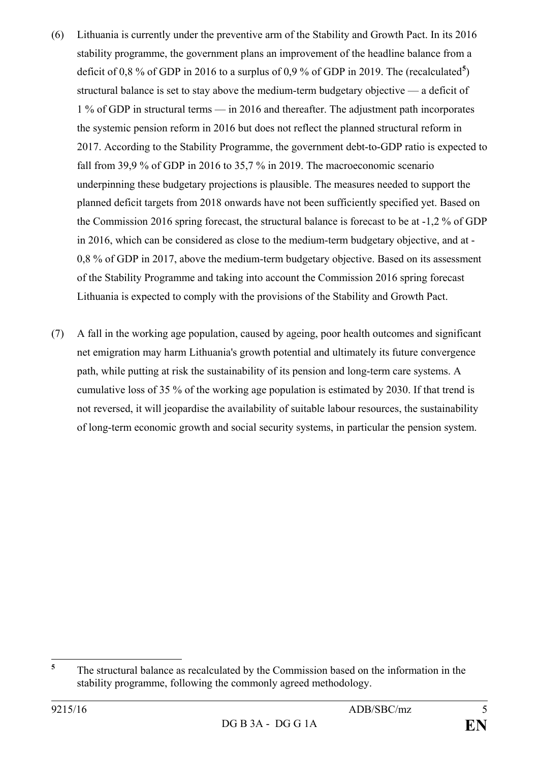- (6) Lithuania is currently under the preventive arm of the Stability and Growth Pact. In its 2016 stability programme, the government plans an improvement of the headline balance from a deficit of 0,8 % of GDP in 2016 to a surplus of 0,9 % of GDP in 2019. The (recalculated<sup>[5](#page-4-0)</sup>) structural balance is set to stay above the medium-term budgetary objective — a deficit of 1 % of GDP in structural terms — in 2016 and thereafter. The adjustment path incorporates the systemic pension reform in 2016 but does not reflect the planned structural reform in 2017. According to the Stability Programme, the government debt-to-GDP ratio is expected to fall from 39,9 % of GDP in 2016 to 35,7 % in 2019. The macroeconomic scenario underpinning these budgetary projections is plausible. The measures needed to support the planned deficit targets from 2018 onwards have not been sufficiently specified yet. Based on the Commission 2016 spring forecast, the structural balance is forecast to be at -1,2 % of GDP in 2016, which can be considered as close to the medium-term budgetary objective, and at - 0,8 % of GDP in 2017, above the medium-term budgetary objective. Based on its assessment of the Stability Programme and taking into account the Commission 2016 spring forecast Lithuania is expected to comply with the provisions of the Stability and Growth Pact.
- (7) A fall in the working age population, caused by ageing, poor health outcomes and significant net emigration may harm Lithuania's growth potential and ultimately its future convergence path, while putting at risk the sustainability of its pension and long-term care systems. A cumulative loss of 35 % of the working age population is estimated by 2030. If that trend is not reversed, it will jeopardise the availability of suitable labour resources, the sustainability of long-term economic growth and social security systems, in particular the pension system.

<span id="page-4-0"></span>**<sup>5</sup>** The structural balance as recalculated by the Commission based on the information in the stability programme, following the commonly agreed methodology.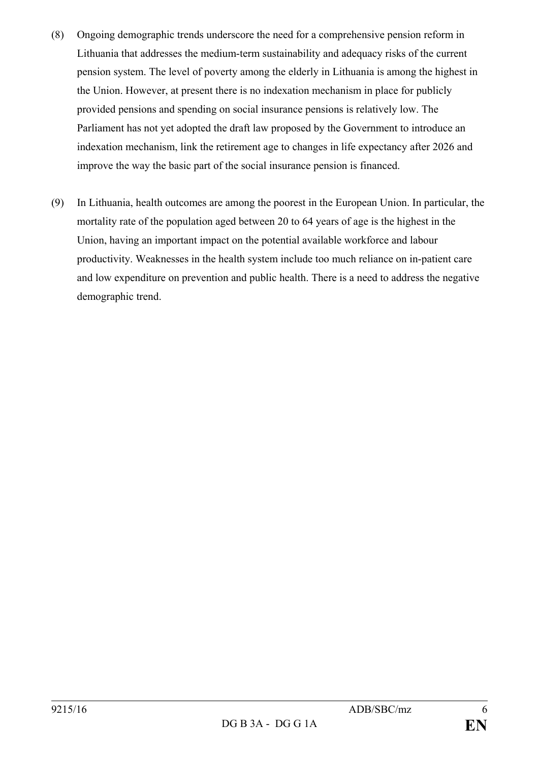- (8) Ongoing demographic trends underscore the need for a comprehensive pension reform in Lithuania that addresses the medium-term sustainability and adequacy risks of the current pension system. The level of poverty among the elderly in Lithuania is among the highest in the Union. However, at present there is no indexation mechanism in place for publicly provided pensions and spending on social insurance pensions is relatively low. The Parliament has not yet adopted the draft law proposed by the Government to introduce an indexation mechanism, link the retirement age to changes in life expectancy after 2026 and improve the way the basic part of the social insurance pension is financed.
- (9) In Lithuania, health outcomes are among the poorest in the European Union. In particular, the mortality rate of the population aged between 20 to 64 years of age is the highest in the Union, having an important impact on the potential available workforce and labour productivity. Weaknesses in the health system include too much reliance on in-patient care and low expenditure on prevention and public health. There is a need to address the negative demographic trend.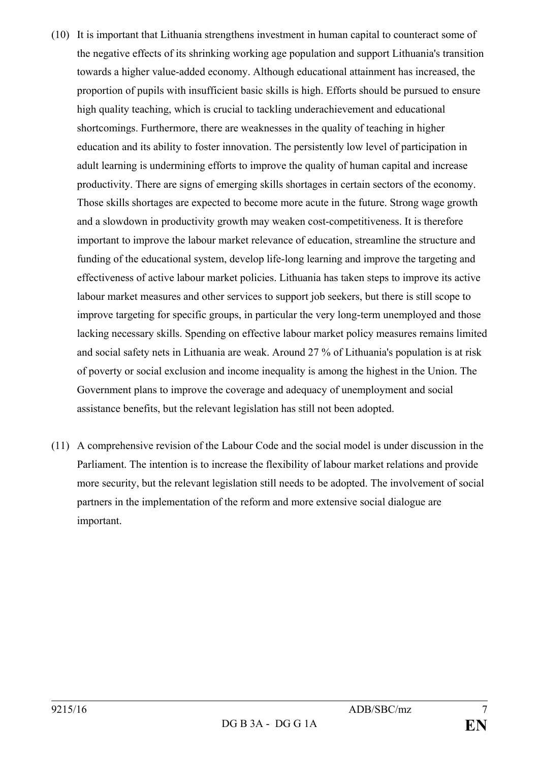- (10) It is important that Lithuania strengthens investment in human capital to counteract some of the negative effects of its shrinking working age population and support Lithuania's transition towards a higher value-added economy. Although educational attainment has increased, the proportion of pupils with insufficient basic skills is high. Efforts should be pursued to ensure high quality teaching, which is crucial to tackling underachievement and educational shortcomings. Furthermore, there are weaknesses in the quality of teaching in higher education and its ability to foster innovation. The persistently low level of participation in adult learning is undermining efforts to improve the quality of human capital and increase productivity. There are signs of emerging skills shortages in certain sectors of the economy. Those skills shortages are expected to become more acute in the future. Strong wage growth and a slowdown in productivity growth may weaken cost-competitiveness. It is therefore important to improve the labour market relevance of education, streamline the structure and funding of the educational system, develop life-long learning and improve the targeting and effectiveness of active labour market policies. Lithuania has taken steps to improve its active labour market measures and other services to support job seekers, but there is still scope to improve targeting for specific groups, in particular the very long-term unemployed and those lacking necessary skills. Spending on effective labour market policy measures remains limited and social safety nets in Lithuania are weak. Around 27 % of Lithuania's population is at risk of poverty or social exclusion and income inequality is among the highest in the Union. The Government plans to improve the coverage and adequacy of unemployment and social assistance benefits, but the relevant legislation has still not been adopted.
- (11) A comprehensive revision of the Labour Code and the social model is under discussion in the Parliament. The intention is to increase the flexibility of labour market relations and provide more security, but the relevant legislation still needs to be adopted. The involvement of social partners in the implementation of the reform and more extensive social dialogue are important.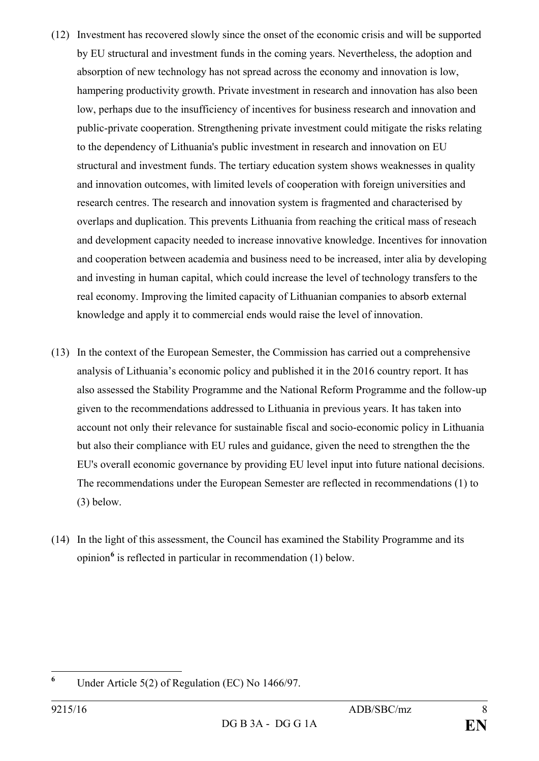- (12) Investment has recovered slowly since the onset of the economic crisis and will be supported by EU structural and investment funds in the coming years. Nevertheless, the adoption and absorption of new technology has not spread across the economy and innovation is low, hampering productivity growth. Private investment in research and innovation has also been low, perhaps due to the insufficiency of incentives for business research and innovation and public-private cooperation. Strengthening private investment could mitigate the risks relating to the dependency of Lithuania's public investment in research and innovation on EU structural and investment funds. The tertiary education system shows weaknesses in quality and innovation outcomes, with limited levels of cooperation with foreign universities and research centres. The research and innovation system is fragmented and characterised by overlaps and duplication. This prevents Lithuania from reaching the critical mass of reseach and development capacity needed to increase innovative knowledge. Incentives for innovation and cooperation between academia and business need to be increased, inter alia by developing and investing in human capital, which could increase the level of technology transfers to the real economy. Improving the limited capacity of Lithuanian companies to absorb external knowledge and apply it to commercial ends would raise the level of innovation.
- (13) In the context of the European Semester, the Commission has carried out a comprehensive analysis of Lithuania's economic policy and published it in the 2016 country report. It has also assessed the Stability Programme and the National Reform Programme and the follow-up given to the recommendations addressed to Lithuania in previous years. It has taken into account not only their relevance for sustainable fiscal and socio-economic policy in Lithuania but also their compliance with EU rules and guidance, given the need to strengthen the the EU's overall economic governance by providing EU level input into future national decisions. The recommendations under the European Semester are reflected in recommendations (1) to (3) below.
- (14) In the light of this assessment, the Council has examined the Stability Programme and its opinion**[6](#page-7-0)** is reflected in particular in recommendation (1) below.

<span id="page-7-0"></span>**<sup>6</sup>** Under Article 5(2) of Regulation (EC) No 1466/97.